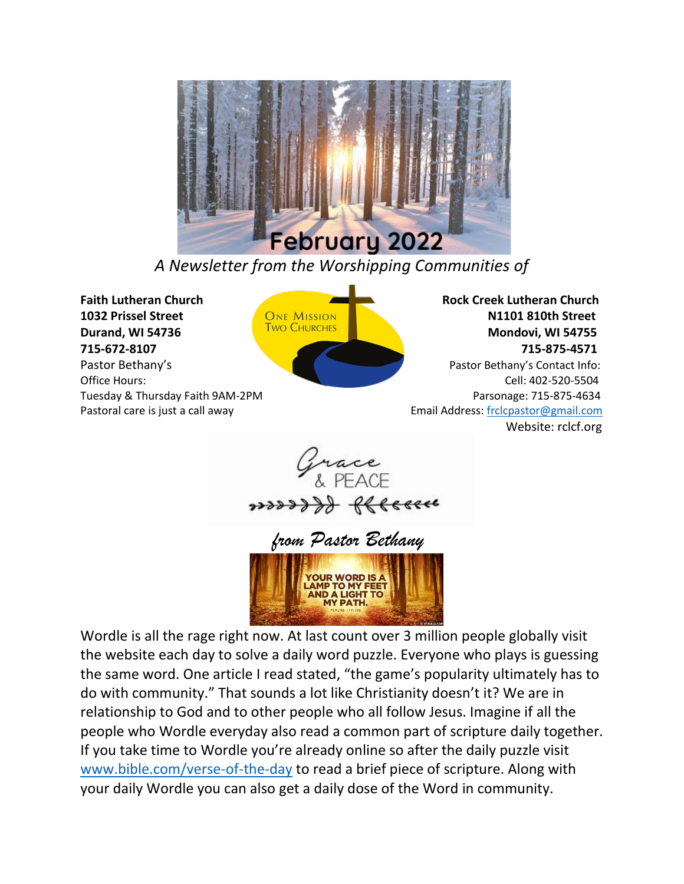

*A Newsletter from the Worshipping Communities of*

**Faith Lutheran Church Rock Creek Lutheran Church 1032 Prissel Street CONE MISSION CONE ALSO BE ANNU STREET CONE ALSO BE A STREET STREET AND THE STREET STREET STREET STREET STREET STREET STREET STREET STREET STREET STREET STREET STREET STREET STREET STREET STREET STREET Durand, WI 54736** Mondovi, WI 54755 Mondovi, WI 54755 **715-672-8107 715-875-4571**

Pastor Bethany'sPastor Bethany's Contact Info: Office Hours: Cell: 402-520-5504 Tuesday & Thursday Faith 9AM-2PM **Parsonage: 715-875-4634** Parsonage: 715-875-4634 Pastoral care is just a call away extending the set of the set of the Email Address[: frclcpastor@gmail.com](mailto:frclcpastor@gmail.com) Website: rclcf.org





Wordle is all the rage right now. At last count over 3 million people globally visit the website each day to solve a daily word puzzle. Everyone who plays is guessing the same word. One article I read stated, "the game's popularity ultimately has to do with community." That sounds a lot like Christianity doesn't it? We are in relationship to God and to other people who all follow Jesus. Imagine if all the people who Wordle everyday also read a common part of scripture daily together. If you take time to Wordle you're already online so after the daily puzzle visit [www.bible.com/verse-of-the-day](http://www.bible.com/verse-of-the-day) to read a brief piece of scripture. Along with your daily Wordle you can also get a daily dose of the Word in community.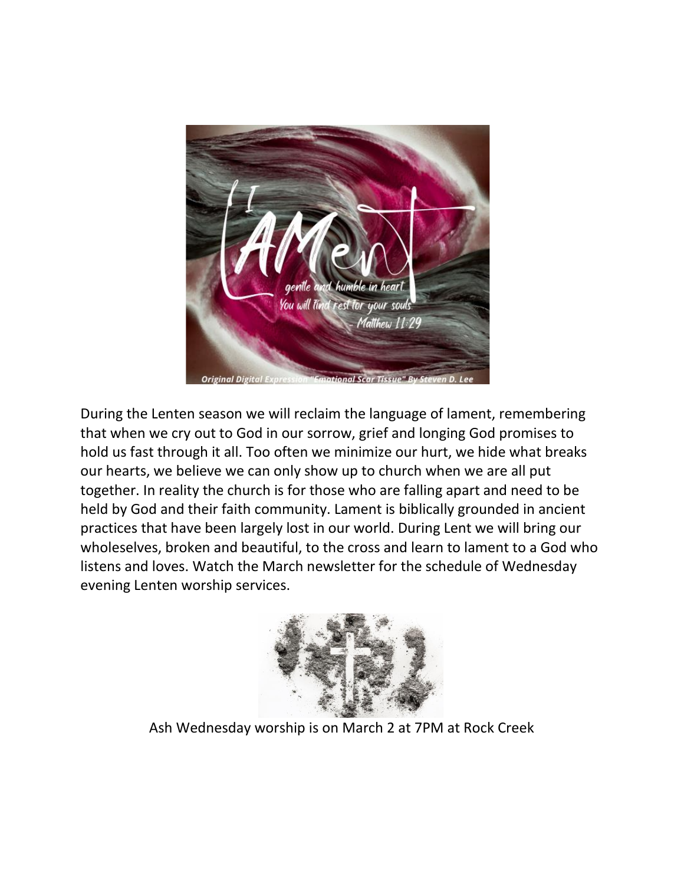

During the Lenten season we will reclaim the language of lament, remembering that when we cry out to God in our sorrow, grief and longing God promises to hold us fast through it all. Too often we minimize our hurt, we hide what breaks our hearts, we believe we can only show up to church when we are all put together. In reality the church is for those who are falling apart and need to be held by God and their faith community. Lament is biblically grounded in ancient practices that have been largely lost in our world. During Lent we will bring our wholeselves, broken and beautiful, to the cross and learn to lament to a God who listens and loves. Watch the March newsletter for the schedule of Wednesday evening Lenten worship services.



Ash Wednesday worship is on March 2 at 7PM at Rock Creek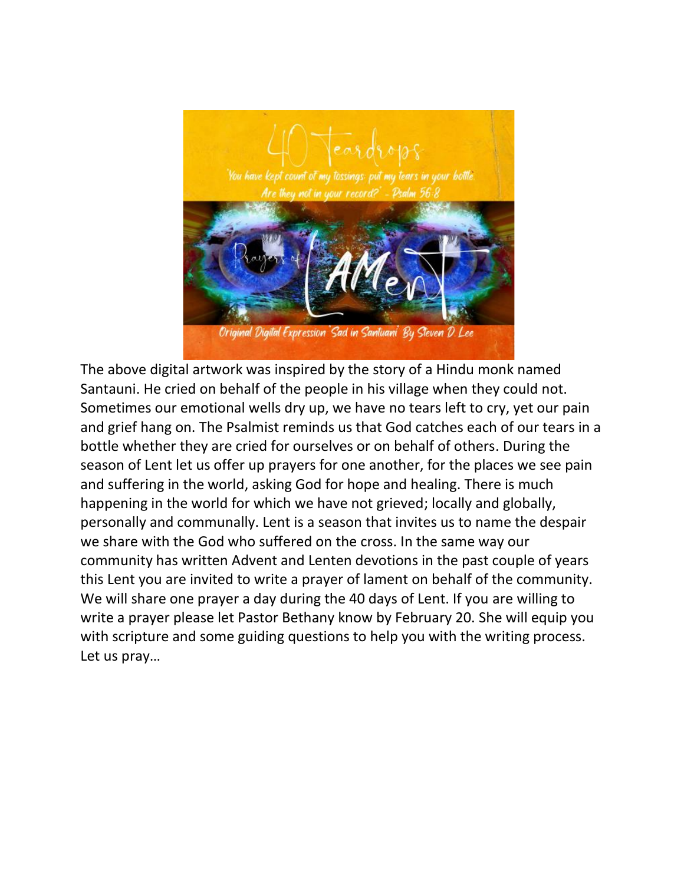

The above digital artwork was inspired by the story of a Hindu monk named Santauni. He cried on behalf of the people in his village when they could not. Sometimes our emotional wells dry up, we have no tears left to cry, yet our pain and grief hang on. The Psalmist reminds us that God catches each of our tears in a bottle whether they are cried for ourselves or on behalf of others. During the season of Lent let us offer up prayers for one another, for the places we see pain and suffering in the world, asking God for hope and healing. There is much happening in the world for which we have not grieved; locally and globally, personally and communally. Lent is a season that invites us to name the despair we share with the God who suffered on the cross. In the same way our community has written Advent and Lenten devotions in the past couple of years this Lent you are invited to write a prayer of lament on behalf of the community. We will share one prayer a day during the 40 days of Lent. If you are willing to write a prayer please let Pastor Bethany know by February 20. She will equip you with scripture and some guiding questions to help you with the writing process. Let us pray…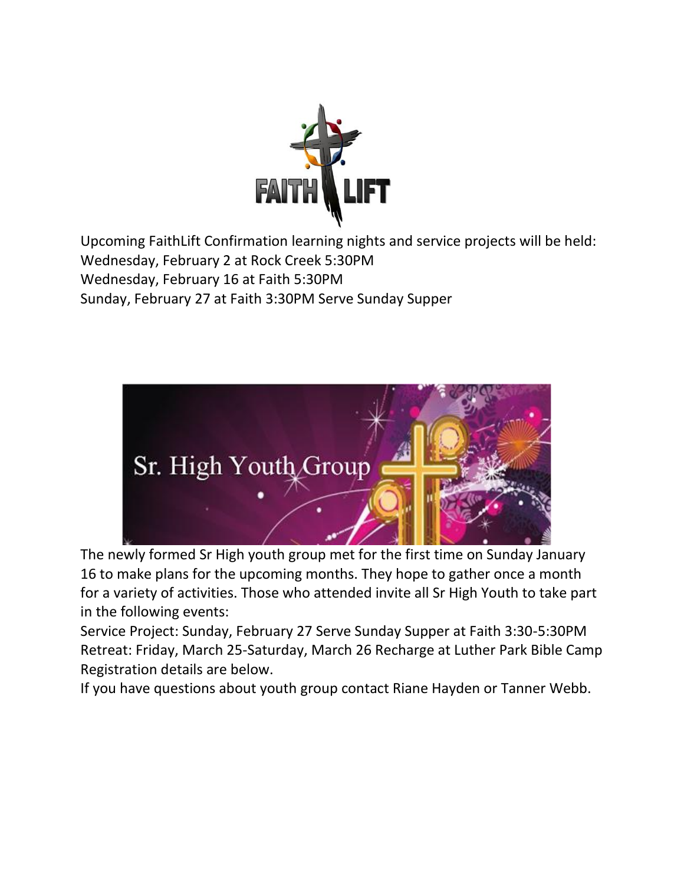

Upcoming FaithLift Confirmation learning nights and service projects will be held: Wednesday, February 2 at Rock Creek 5:30PM Wednesday, February 16 at Faith 5:30PM Sunday, February 27 at Faith 3:30PM Serve Sunday Supper



The newly formed Sr High youth group met for the first time on Sunday January 16 to make plans for the upcoming months. They hope to gather once a month for a variety of activities. Those who attended invite all Sr High Youth to take part in the following events:

Service Project: Sunday, February 27 Serve Sunday Supper at Faith 3:30-5:30PM Retreat: Friday, March 25-Saturday, March 26 Recharge at Luther Park Bible Camp Registration details are below.

If you have questions about youth group contact Riane Hayden or Tanner Webb.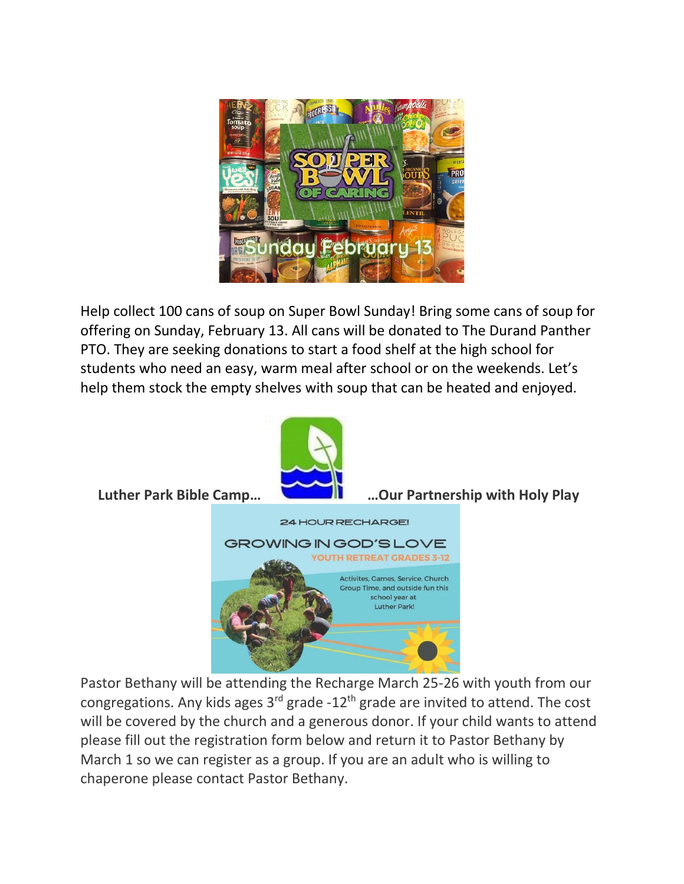

Help collect 100 cans of soup on Super Bowl Sunday! Bring some cans of soup for offering on Sunday, February 13. All cans will be donated to The Durand Panther PTO. They are seeking donations to start a food shelf at the high school for students who need an easy, warm meal after school or on the weekends. Let's help them stock the empty shelves with soup that can be heated and enjoyed.



Pastor Bethany will be attending the Recharge March 25-26 with youth from our congregations. Any kids ages  $3<sup>rd</sup>$  grade -12<sup>th</sup> grade are invited to attend. The cost will be covered by the church and a generous donor. If your child wants to attend please fill out the registration form below and return it to Pastor Bethany by March 1 so we can register as a group. If you are an adult who is willing to chaperone please contact Pastor Bethany.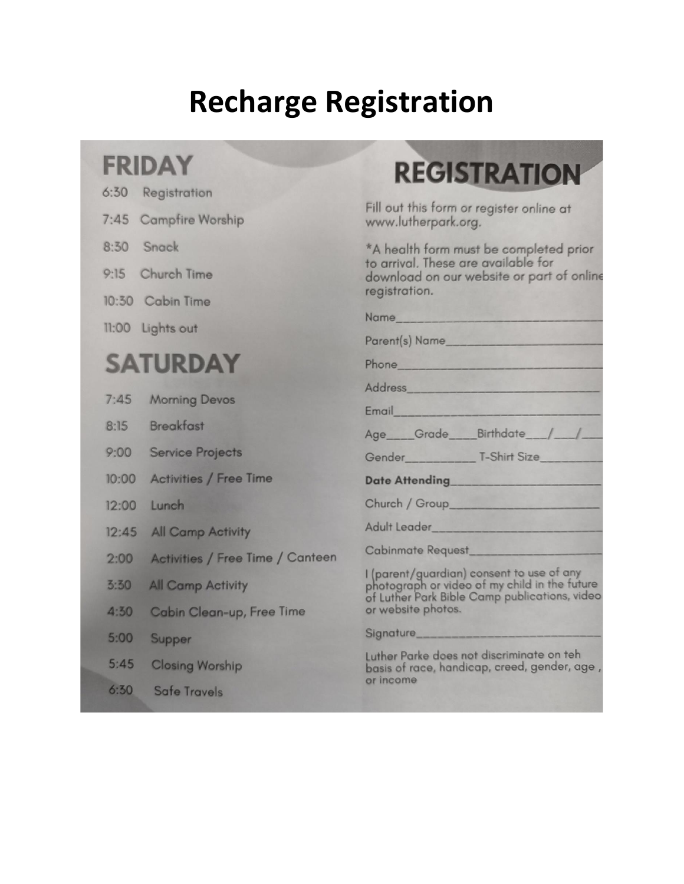# **Recharge Registration**

## **FRIDAY**

| 6:30 Registration       |  |  |  |  |
|-------------------------|--|--|--|--|
| $7.45$ Campfirm Warehir |  |  |  |  |

- $8:30$ Snack
- 9:15 Church Time
- 10:30 Cabin Time
- 11:00 Lights out

## **SATURDAY**

- $7:45$ **Morning Devos**
- **Breakfast**  $8:15$
- $9:00$ **Service Projects**
- $10:00$ **Activities / Free Time**
- $12:00$ Lunch
- $12:45$ **All Camp Activity**
- **Activities / Free Time / Canteen**  $2:00$
- $3:30$ **All Camp Activity**
- $4:30$ **Cabin Clean-up, Free Time**
- $5:00$ Supper
- $5:45$ **Closing Worship**
- $6:30$ **Safe Travels**

# **REGISTRATION**

Fill out this form or register online at www.lutherpark.org.

\*A health form must be completed prior to arrival. These are available for download on our website or part of online registration.

| Name <b>Name</b>                |  |  |
|---------------------------------|--|--|
| Parent(s) Name                  |  |  |
|                                 |  |  |
| Address                         |  |  |
| Email                           |  |  |
| Age___Grade___Birthdate__/__/__ |  |  |
|                                 |  |  |
| .                               |  |  |

**Date Attending** 

|  |  |  |  | Church / Group |  |  |
|--|--|--|--|----------------|--|--|

Adult Leader

**Cabinmate Request** 

I (parent/guardian) consent to use of any photograph or video of my child in the future of Luther Park Bible Camp publications, video or website photos.

Signature\_

Luther Parke does not discriminate on teh basis of race, handicap, creed, gender, age, or income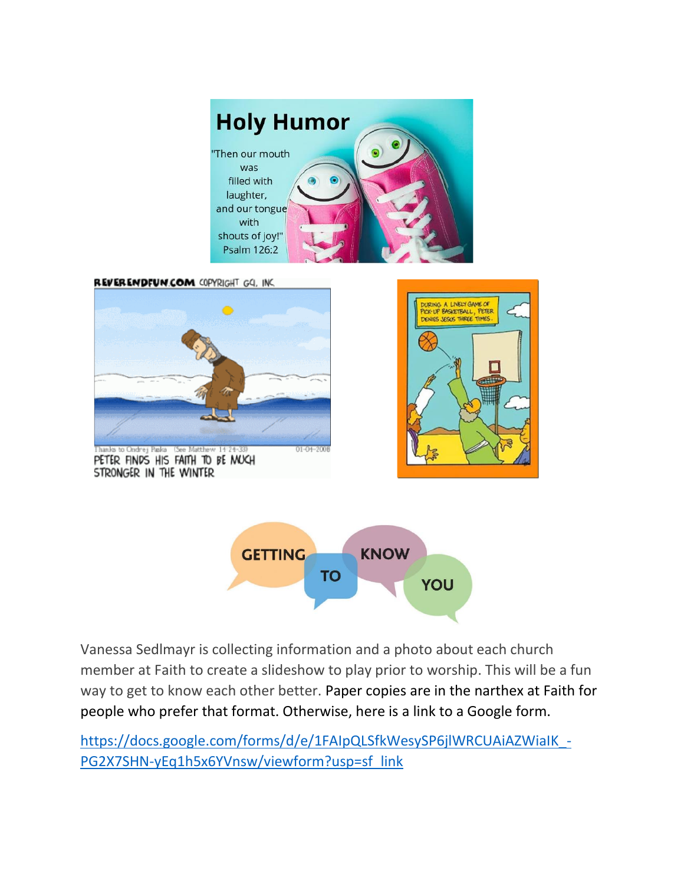

**REVERENDFUN.COM COPYRIGHT GQ. INC.** 



Vanessa Sedlmayr is collecting information and a photo about each church member at Faith to create a slideshow to play prior to worship. This will be a fun way to get to know each other better. Paper copies are in the narthex at Faith for people who prefer that format. Otherwise, here is a link to a Google form.

https://docs.google.com/forms/d/e/1FAIpQLSfkWesySP6jlWRCUAiAZWiaIK -[PG2X7SHN-yEq1h5x6YVnsw/viewform?usp=sf\\_link](https://docs.google.com/forms/d/e/1FAIpQLSfkWesySP6jlWRCUAiAZWiaIK_-PG2X7SHN-yEq1h5x6YVnsw/viewform?usp=sf_link)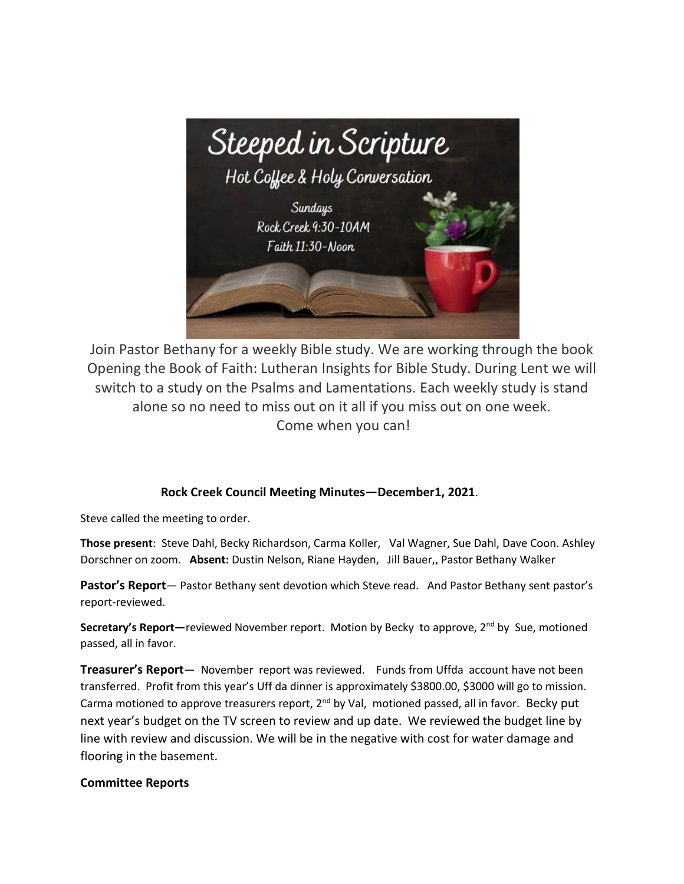

Join Pastor Bethany for a weekly Bible study. We are working through the book Opening the Book of Faith: Lutheran Insights for Bible Study. During Lent we will switch to a study on the Psalms and Lamentations. Each weekly study is stand alone so no need to miss out on it all if you miss out on one week. Come when you can!

#### **Rock Creek Council Meeting Minutes—December1, 2021**.

Steve called the meeting to order.

**Those present**: Steve Dahl, Becky Richardson, Carma Koller, Val Wagner, Sue Dahl, Dave Coon. Ashley Dorschner on zoom. **Absent:** Dustin Nelson, Riane Hayden, Jill Bauer,, Pastor Bethany Walker

**Pastor's Report**— Pastor Bethany sent devotion which Steve read. And Pastor Bethany sent pastor's report-reviewed.

**Secretary's Report**—reviewed November report. Motion by Becky to approve, 2<sup>nd</sup> by Sue, motioned passed, all in favor.

**Treasurer's Report**— November report was reviewed. Funds from Uffda account have not been transferred. Profit from this year's Uff da dinner is approximately \$3800.00, \$3000 will go to mission. Carma motioned to approve treasurers report,  $2^{nd}$  by Val, motioned passed, all in favor. Becky put next year's budget on the TV screen to review and up date. We reviewed the budget line by line with review and discussion. We will be in the negative with cost for water damage and flooring in the basement.

#### **Committee Reports**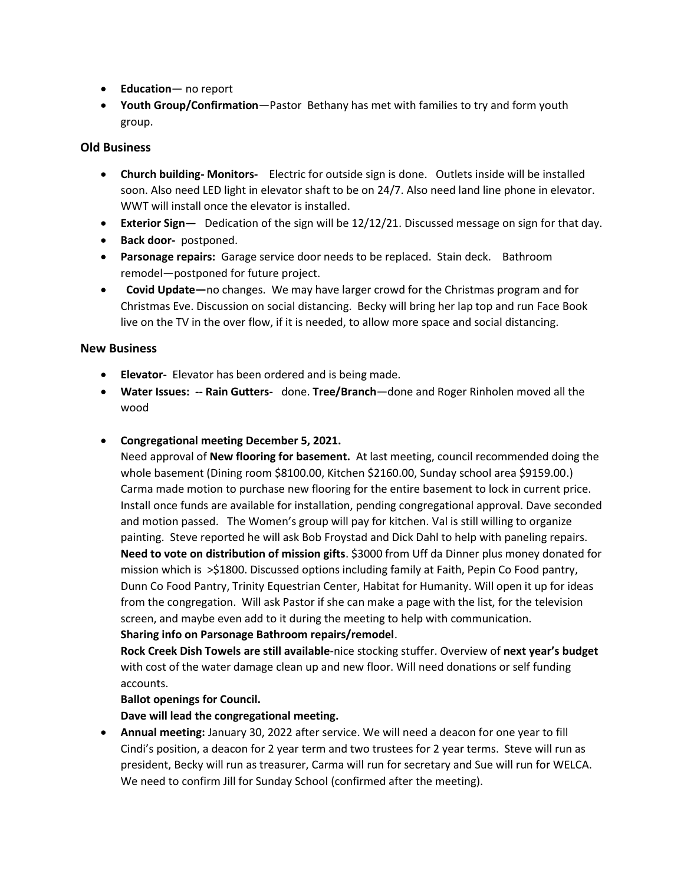- **Education** no report
- **Youth Group/Confirmation**—Pastor Bethany has met with families to try and form youth group.

#### **Old Business**

- **Church building- Monitors-** Electric for outside sign is done. Outlets inside will be installed soon. Also need LED light in elevator shaft to be on 24/7. Also need land line phone in elevator. WWT will install once the elevator is installed.
- **Exterior Sign—** Dedication of the sign will be 12/12/21. Discussed message on sign for that day.
- **Back door-** postponed.
- **Parsonage repairs:** Garage service door needs to be replaced. Stain deck. Bathroom remodel—postponed for future project.
- **Covid Update—**no changes. We may have larger crowd for the Christmas program and for Christmas Eve. Discussion on social distancing. Becky will bring her lap top and run Face Book live on the TV in the over flow, if it is needed, to allow more space and social distancing.

#### **New Business**

- **Elevator-** Elevator has been ordered and is being made.
- **Water Issues: -- Rain Gutters-** done. **Tree/Branch**—done and Roger Rinholen moved all the wood
- **Congregational meeting December 5, 2021.**

Need approval of **New flooring for basement.** At last meeting, council recommended doing the whole basement (Dining room \$8100.00, Kitchen \$2160.00, Sunday school area \$9159.00.) Carma made motion to purchase new flooring for the entire basement to lock in current price. Install once funds are available for installation, pending congregational approval. Dave seconded and motion passed. The Women's group will pay for kitchen. Val is still willing to organize painting. Steve reported he will ask Bob Froystad and Dick Dahl to help with paneling repairs. **Need to vote on distribution of mission gifts**. \$3000 from Uff da Dinner plus money donated for mission which is >\$1800. Discussed options including family at Faith, Pepin Co Food pantry, Dunn Co Food Pantry, Trinity Equestrian Center, Habitat for Humanity. Will open it up for ideas from the congregation. Will ask Pastor if she can make a page with the list, for the television screen, and maybe even add to it during the meeting to help with communication. **Sharing info on Parsonage Bathroom repairs/remodel**.

**Rock Creek Dish Towels are still available**-nice stocking stuffer. Overview of **next year's budget** with cost of the water damage clean up and new floor. Will need donations or self funding accounts.

#### **Ballot openings for Council.**

**Dave will lead the congregational meeting.** 

• **Annual meeting:** January 30, 2022 after service. We will need a deacon for one year to fill Cindi's position, a deacon for 2 year term and two trustees for 2 year terms. Steve will run as president, Becky will run as treasurer, Carma will run for secretary and Sue will run for WELCA. We need to confirm Jill for Sunday School (confirmed after the meeting).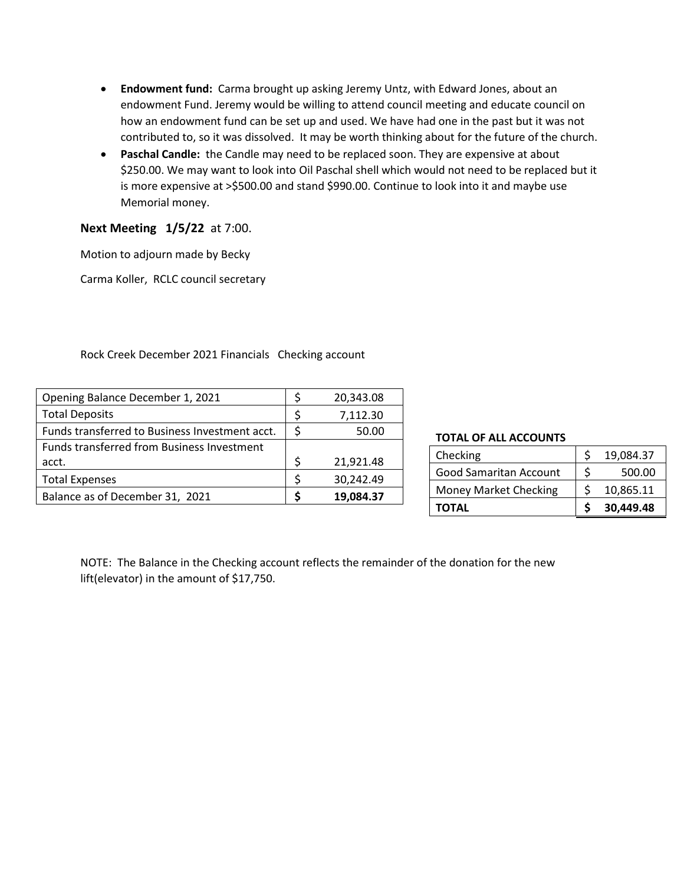- **Endowment fund:** Carma brought up asking Jeremy Untz, with Edward Jones, about an endowment Fund. Jeremy would be willing to attend council meeting and educate council on how an endowment fund can be set up and used. We have had one in the past but it was not contributed to, so it was dissolved. It may be worth thinking about for the future of the church.
- **Paschal Candle:** the Candle may need to be replaced soon. They are expensive at about \$250.00. We may want to look into Oil Paschal shell which would not need to be replaced but it is more expensive at >\$500.00 and stand \$990.00. Continue to look into it and maybe use Memorial money.

#### **Next Meeting 1/5/22** at 7:00.

Motion to adjourn made by Becky

Carma Koller, RCLC council secretary

#### Rock Creek December 2021 Financials Checking account

| Opening Balance December 1, 2021               | 20,343.08       |
|------------------------------------------------|-----------------|
| <b>Total Deposits</b>                          | 7,112.30        |
| Funds transferred to Business Investment acct. | 50.00           |
| Funds transferred from Business Investment     |                 |
| acct.                                          | \$<br>21,921.48 |
| <b>Total Expenses</b>                          | 30,242.49       |
| Balance as of December 31, 2021                | 19,084.37       |

#### **TOTAL OF ALL ACCOUNTS**

| Checking                      |   | 19,084.37 |
|-------------------------------|---|-----------|
| <b>Good Samaritan Account</b> | ¢ | 500.00    |
| <b>Money Market Checking</b>  |   | 10,865.11 |
| <b>TOTAL</b>                  |   | 30,449.48 |

NOTE: The Balance in the Checking account reflects the remainder of the donation for the new lift(elevator) in the amount of \$17,750.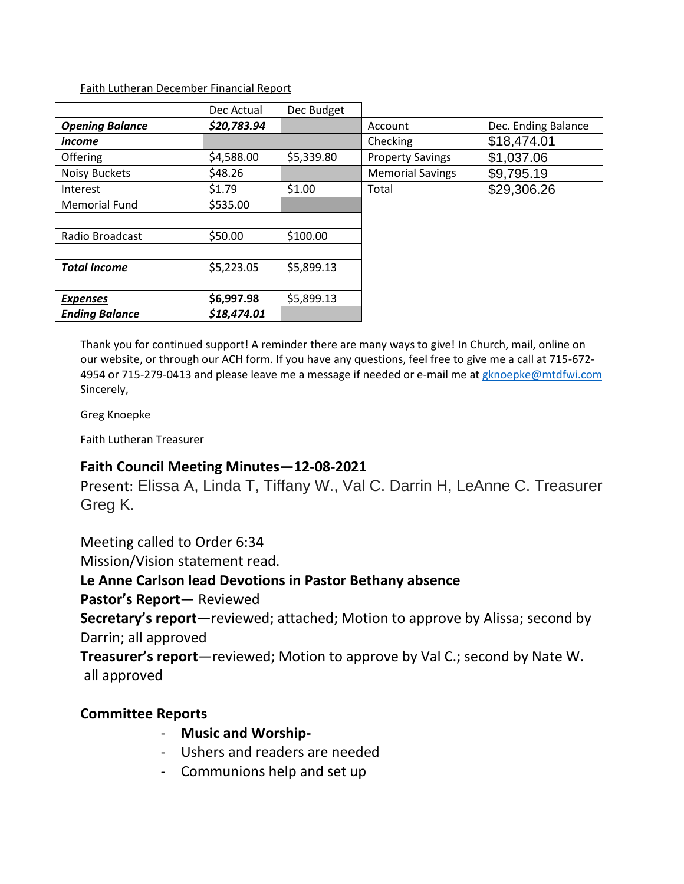#### Faith Lutheran December Financial Report

|                        | Dec Actual  | Dec Budget |                         |                     |
|------------------------|-------------|------------|-------------------------|---------------------|
| <b>Opening Balance</b> | \$20,783.94 |            | Account                 | Dec. Ending Balance |
| Income                 |             |            | Checking                | \$18,474.01         |
| Offering               | \$4,588.00  | \$5,339.80 | <b>Property Savings</b> | \$1,037.06          |
| <b>Noisy Buckets</b>   | \$48.26     |            | <b>Memorial Savings</b> | \$9,795.19          |
| Interest               | \$1.79      | \$1.00     | Total                   | \$29,306.26         |
| <b>Memorial Fund</b>   | \$535.00    |            |                         |                     |
|                        |             |            |                         |                     |
| Radio Broadcast        | \$50.00     | \$100.00   |                         |                     |
|                        |             |            |                         |                     |
| <b>Total Income</b>    | \$5,223.05  | \$5,899.13 |                         |                     |
|                        |             |            |                         |                     |
| <b>Expenses</b>        | \$6,997.98  | \$5,899.13 |                         |                     |
| <b>Ending Balance</b>  | \$18,474.01 |            |                         |                     |

Thank you for continued support! A reminder there are many ways to give! In Church, mail, online on our website, or through our ACH form. If you have any questions, feel free to give me a call at 715-672 4954 or 715-279-0413 and please leave me a message if needed or e-mail me at [gknoepke@mtdfwi.com](mailto:gknoepke@mtdfwi.com) Sincerely,

Greg Knoepke

Faith Lutheran Treasurer

## **Faith Council Meeting Minutes—12-08-2021**

Present: Elissa A, Linda T, Tiffany W., Val C. Darrin H, LeAnne C. Treasurer Greg K.

Meeting called to Order 6:34

Mission/Vision statement read.

### **Le Anne Carlson lead Devotions in Pastor Bethany absence**

**Pastor's Report**— Reviewed

**Secretary's report**—reviewed; attached; Motion to approve by Alissa; second by Darrin; all approved

**Treasurer's report**—reviewed; Motion to approve by Val C.; second by Nate W. all approved

## **Committee Reports**

- **Music and Worship-**
- Ushers and readers are needed
- Communions help and set up